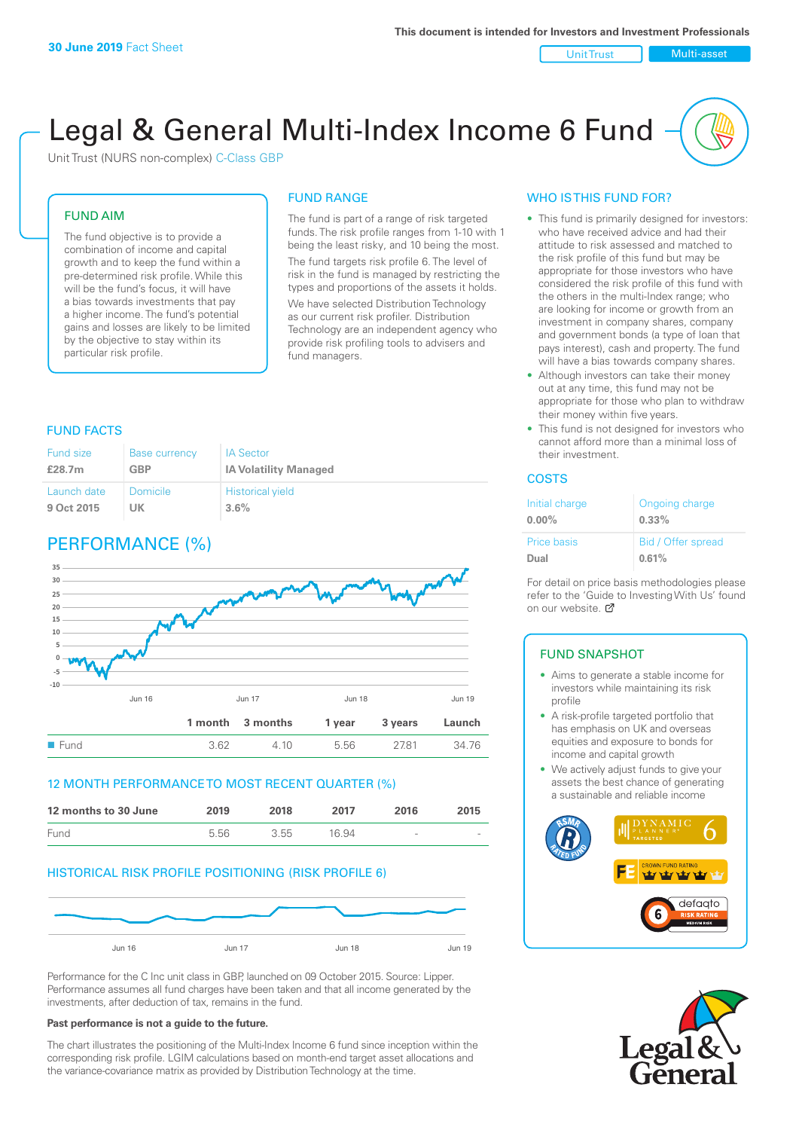#### Unit Trust Nulti-asset

# Legal & General Multi-Index Income 6 Fund

Unit Trust (NURS non-complex) C-Class GBP

### FUND AIM

The fund objective is to provide a combination of income and capital growth and to keep the fund within a pre-determined risk profile. While this will be the fund's focus, it will have a bias towards investments that pay a higher income. The fund's potential gains and losses are likely to be limited by the objective to stay within its particular risk profile.

### FUND RANGE

The fund is part of a range of risk targeted funds. The risk profile ranges from 1-10 with 1 being the least risky, and 10 being the most. The fund targets risk profile 6. The level of risk in the fund is managed by restricting the types and proportions of the assets it holds. We have selected Distribution Technology as our current risk profiler. Distribution Technology are an independent agency who provide risk profiling tools to advisers and fund managers.

### FUND FACTS

| Fund size   | <b>Base currency</b> | <b>IA Sector</b>             |
|-------------|----------------------|------------------------------|
| £28.7m      | <b>GBP</b>           | <b>IA Volatility Managed</b> |
| Launch date | Domicile             | <b>Historical yield</b>      |
| 9 Oct 2015  | UK                   | $3.6\%$                      |

### PERFORMANCE (%)



### 12 MONTH PERFORMANCE TO MOST RECENT QUARTER (%)



### HISTORICAL RISK PROFILE POSITIONING (RISK PROFILE 6)



Performance for the C Inc unit class in GBP, launched on 09 October 2015. Source: Lipper. Performance assumes all fund charges have been taken and that all income generated by the investments, after deduction of tax, remains in the fund.

#### **Past performance is not a guide to the future.**

The chart illustrates the positioning of the Multi-Index Income 6 fund since inception within the corresponding risk profile. LGIM calculations based on month-end target asset allocations and the variance-covariance matrix as provided by Distribution Technology at the time.

### WHO IS THIS FUND FOR?

- This fund is primarily designed for investors: who have received advice and had their attitude to risk assessed and matched to the risk profile of this fund but may be appropriate for those investors who have considered the risk profile of this fund with the others in the multi-Index range; who are looking for income or growth from an investment in company shares, company and government bonds (a type of loan that pays interest), cash and property. The fund will have a bias towards company shares.
- Although investors can take their money out at any time, this fund may not be appropriate for those who plan to withdraw their money within five years.
- This fund is not designed for investors who cannot afford more than a minimal loss of their investment.

### **COSTS**

| Initial charge<br>$0.00\%$ | Ongoing charge<br>$0.33\%$ |
|----------------------------|----------------------------|
| <b>Price basis</b>         | Bid / Offer spread         |
| Dual                       | 0.61%                      |

For detail on price basis methodologies please refer to the 'Guide to Investing With Us' found on our website. [7]

### FUND SNAPSHOT

- Aims to generate a stable income for investors while maintaining its risk profile
- A risk-profile targeted portfolio that has emphasis on UK and overseas equities and exposure to bonds for income and capital growth
- We actively adjust funds to give your assets the best chance of generating a sustainable and reliable income



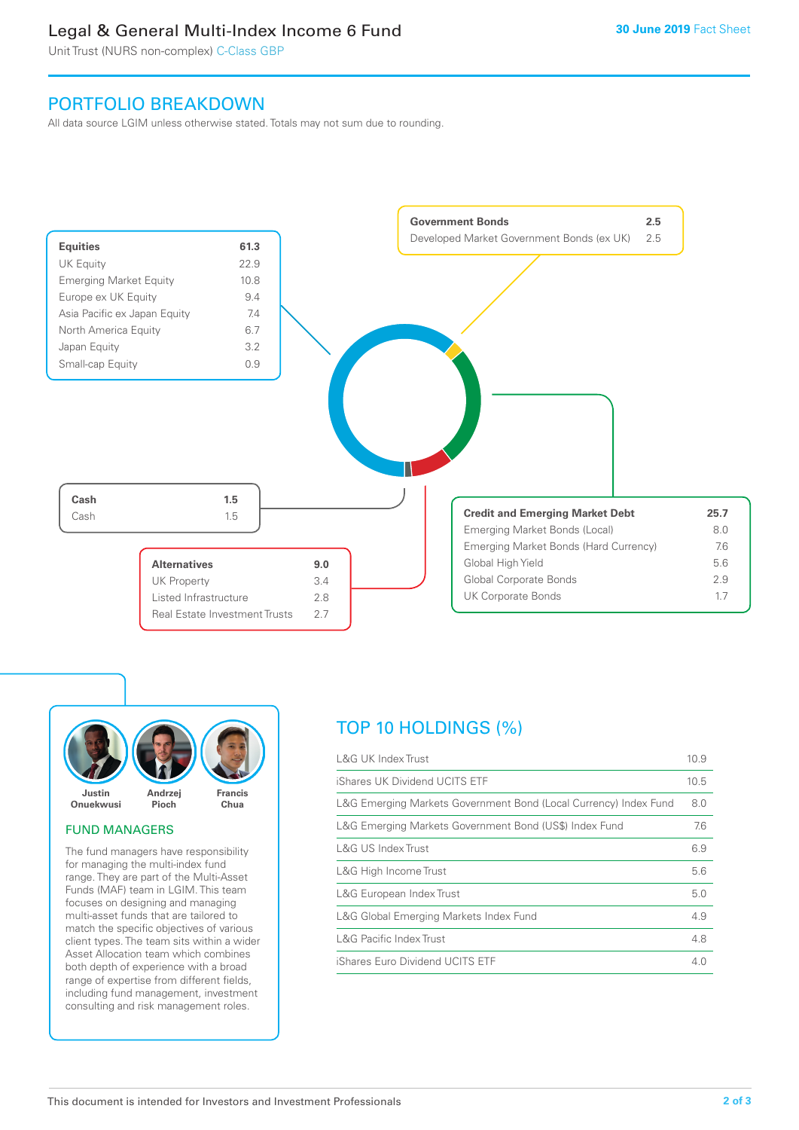### Legal & General Multi-Index Income 6 Fund

Unit Trust (NURS non-complex) C-Class GBP

### PORTFOLIO BREAKDOWN

All data source LGIM unless otherwise stated. Totals may not sum due to rounding.





### FUND MANAGERS

The fund managers have responsibility for managing the multi-index fund range. They are part of the Multi-Asset Funds (MAF) team in LGIM. This team focuses on designing and managing multi-asset funds that are tailored to match the specific objectives of various client types. The team sits within a wider Asset Allocation team which combines both depth of experience with a broad range of expertise from different fields, including fund management, investment consulting and risk management roles.

## TOP 10 HOLDINGS (%)

| <b>L&amp;G UK Index Trust</b>                                    | 10.9 |
|------------------------------------------------------------------|------|
| iShares UK Dividend UCITS ETF                                    | 10.5 |
| L&G Emerging Markets Government Bond (Local Currency) Index Fund | 8.0  |
| L&G Emerging Markets Government Bond (US\$) Index Fund           | 7.6  |
| L&G US Index Trust                                               | 6.9  |
| L&G High Income Trust                                            | 5.6  |
| L&G European Index Trust                                         | 5.0  |
| L&G Global Emerging Markets Index Fund                           | 4.9  |
| <b>L&amp;G Pacific Index Trust</b>                               | 4.8  |
| iShares Euro Dividend UCITS ETF                                  | 4.0  |